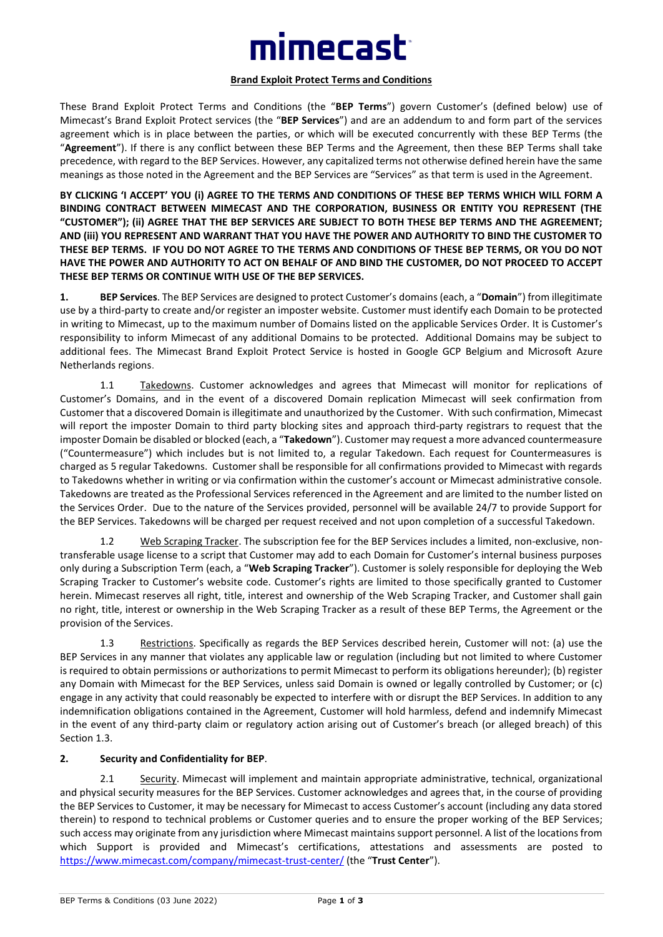# imecast<sup>.</sup>

#### **Brand Exploit Protect Terms and Conditions**

These Brand Exploit Protect Terms and Conditions (the "**BEP Terms**") govern Customer's (defined below) use of Mimecast's Brand Exploit Protect services (the "**BEP Services**") and are an addendum to and form part of the services agreement which is in place between the parties, or which will be executed concurrently with these BEP Terms (the "**Agreement**"). If there is any conflict between these BEP Terms and the Agreement, then these BEP Terms shall take precedence, with regard to the BEP Services. However, any capitalized terms not otherwise defined herein have the same meanings as those noted in the Agreement and the BEP Services are "Services" as that term is used in the Agreement.

**BY CLICKING 'I ACCEPT' YOU (i) AGREE TO THE TERMS AND CONDITIONS OF THESE BEP TERMS WHICH WILL FORM A BINDING CONTRACT BETWEEN MIMECAST AND THE CORPORATION, BUSINESS OR ENTITY YOU REPRESENT (THE "CUSTOMER"); (ii) AGREE THAT THE BEP SERVICES ARE SUBJECT TO BOTH THESE BEP TERMS AND THE AGREEMENT; AND (iii) YOU REPRESENT AND WARRANT THAT YOU HAVE THE POWER AND AUTHORITY TO BIND THE CUSTOMER TO THESE BEP TERMS. IF YOU DO NOT AGREE TO THE TERMS AND CONDITIONS OF THESE BEP TERMS, OR YOU DO NOT HAVE THE POWER AND AUTHORITY TO ACT ON BEHALF OF AND BIND THE CUSTOMER, DO NOT PROCEED TO ACCEPT THESE BEP TERMS OR CONTINUE WITH USE OF THE BEP SERVICES.**

**1. BEP Services**. The BEP Services are designed to protect Customer's domains (each, a "**Domain**") from illegitimate use by a third-party to create and/or register an imposter website. Customer must identify each Domain to be protected in writing to Mimecast, up to the maximum number of Domains listed on the applicable Services Order. It is Customer's responsibility to inform Mimecast of any additional Domains to be protected. Additional Domains may be subject to additional fees. The Mimecast Brand Exploit Protect Service is hosted in Google GCP Belgium and Microsoft Azure Netherlands regions.

1.1 Takedowns. Customer acknowledges and agrees that Mimecast will monitor for replications of Customer's Domains, and in the event of a discovered Domain replication Mimecast will seek confirmation from Customer that a discovered Domain is illegitimate and unauthorized by the Customer. With such confirmation, Mimecast will report the imposter Domain to third party blocking sites and approach third-party registrars to request that the imposter Domain be disabled or blocked (each, a "**Takedown**"). Customer may request a more advanced countermeasure ("Countermeasure") which includes but is not limited to, a regular Takedown. Each request for Countermeasures is charged as 5 regular Takedowns. Customer shall be responsible for all confirmations provided to Mimecast with regards to Takedowns whether in writing or via confirmation within the customer's account or Mimecast administrative console. Takedowns are treated as the Professional Services referenced in the Agreement and are limited to the number listed on the Services Order. Due to the nature of the Services provided, personnel will be available 24/7 to provide Support for the BEP Services. Takedowns will be charged per request received and not upon completion of a successful Takedown.

1.2 Web Scraping Tracker. The subscription fee for the BEP Services includes a limited, non-exclusive, nontransferable usage license to a script that Customer may add to each Domain for Customer's internal business purposes only during a Subscription Term (each, a "**Web Scraping Tracker**"). Customer is solely responsible for deploying the Web Scraping Tracker to Customer's website code. Customer's rights are limited to those specifically granted to Customer herein. Mimecast reserves all right, title, interest and ownership of the Web Scraping Tracker, and Customer shall gain no right, title, interest or ownership in the Web Scraping Tracker as a result of these BEP Terms, the Agreement or the provision of the Services.

1.3 Restrictions. Specifically as regards the BEP Services described herein, Customer will not: (a) use the BEP Services in any manner that violates any applicable law or regulation (including but not limited to where Customer is required to obtain permissions or authorizations to permit Mimecast to perform its obligations hereunder); (b) register any Domain with Mimecast for the BEP Services, unless said Domain is owned or legally controlled by Customer; or (c) engage in any activity that could reasonably be expected to interfere with or disrupt the BEP Services. In addition to any indemnification obligations contained in the Agreement, Customer will hold harmless, defend and indemnify Mimecast in the event of any third-party claim or regulatory action arising out of Customer's breach (or alleged breach) of this Section 1.3.

#### **2. Security and Confidentiality for BEP**.

2.1 Security. Mimecast will implement and maintain appropriate administrative, technical, organizational and physical security measures for the BEP Services. Customer acknowledges and agrees that, in the course of providing the BEP Services to Customer, it may be necessary for Mimecast to access Customer's account (including any data stored therein) to respond to technical problems or Customer queries and to ensure the proper working of the BEP Services; such access may originate from any jurisdiction where Mimecast maintains support personnel. A list of the locations from which Support is provided and Mimecast's certifications, attestations and assessments are posted to <https://www.mimecast.com/company/mimecast-trust-center/> (the "**Trust Center**").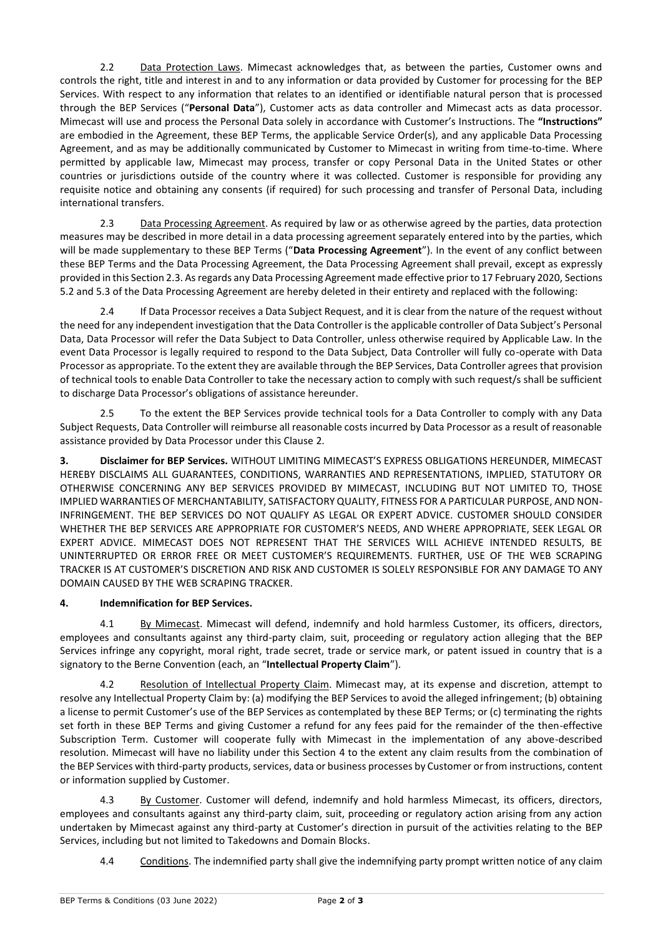2.2 Data Protection Laws. Mimecast acknowledges that, as between the parties, Customer owns and controls the right, title and interest in and to any information or data provided by Customer for processing for the BEP Services. With respect to any information that relates to an identified or identifiable natural person that is processed through the BEP Services ("**Personal Data**"), Customer acts as data controller and Mimecast acts as data processor. Mimecast will use and process the Personal Data solely in accordance with Customer's Instructions. The **"Instructions"** are embodied in the Agreement, these BEP Terms, the applicable Service Order(s), and any applicable Data Processing Agreement, and as may be additionally communicated by Customer to Mimecast in writing from time-to-time. Where permitted by applicable law, Mimecast may process, transfer or copy Personal Data in the United States or other countries or jurisdictions outside of the country where it was collected. Customer is responsible for providing any requisite notice and obtaining any consents (if required) for such processing and transfer of Personal Data, including international transfers.

2.3 Data Processing Agreement. As required by law or as otherwise agreed by the parties, data protection measures may be described in more detail in a data processing agreement separately entered into by the parties, which will be made supplementary to these BEP Terms ("**Data Processing Agreement**"). In the event of any conflict between these BEP Terms and the Data Processing Agreement, the Data Processing Agreement shall prevail, except as expressly provided in this Section 2.3. As regards any Data Processing Agreement made effective prior to 17 February 2020, Sections 5.2 and 5.3 of the Data Processing Agreement are hereby deleted in their entirety and replaced with the following:

2.4 If Data Processor receives a Data Subject Request, and it is clear from the nature of the request without the need for any independent investigation that the Data Controller is the applicable controller of Data Subject's Personal Data, Data Processor will refer the Data Subject to Data Controller, unless otherwise required by Applicable Law. In the event Data Processor is legally required to respond to the Data Subject, Data Controller will fully co-operate with Data Processor as appropriate. To the extent they are available through the BEP Services, Data Controller agrees that provision of technical tools to enable Data Controller to take the necessary action to comply with such request/s shall be sufficient to discharge Data Processor's obligations of assistance hereunder.

2.5 To the extent the BEP Services provide technical tools for a Data Controller to comply with any Data Subject Requests, Data Controller will reimburse all reasonable costs incurred by Data Processor as a result of reasonable assistance provided by Data Processor under this Clause 2.

**3. Disclaimer for BEP Services.** WITHOUT LIMITING MIMECAST'S EXPRESS OBLIGATIONS HEREUNDER, MIMECAST HEREBY DISCLAIMS ALL GUARANTEES, CONDITIONS, WARRANTIES AND REPRESENTATIONS, IMPLIED, STATUTORY OR OTHERWISE CONCERNING ANY BEP SERVICES PROVIDED BY MIMECAST, INCLUDING BUT NOT LIMITED TO, THOSE IMPLIED WARRANTIES OF MERCHANTABILITY, SATISFACTORY QUALITY, FITNESS FOR A PARTICULAR PURPOSE, AND NON-INFRINGEMENT. THE BEP SERVICES DO NOT QUALIFY AS LEGAL OR EXPERT ADVICE. CUSTOMER SHOULD CONSIDER WHETHER THE BEP SERVICES ARE APPROPRIATE FOR CUSTOMER'S NEEDS, AND WHERE APPROPRIATE, SEEK LEGAL OR EXPERT ADVICE. MIMECAST DOES NOT REPRESENT THAT THE SERVICES WILL ACHIEVE INTENDED RESULTS, BE UNINTERRUPTED OR ERROR FREE OR MEET CUSTOMER'S REQUIREMENTS. FURTHER, USE OF THE WEB SCRAPING TRACKER IS AT CUSTOMER'S DISCRETION AND RISK AND CUSTOMER IS SOLELY RESPONSIBLE FOR ANY DAMAGE TO ANY DOMAIN CAUSED BY THE WEB SCRAPING TRACKER.

## **4. Indemnification for BEP Services.**

4.1 By Mimecast. Mimecast will defend, indemnify and hold harmless Customer, its officers, directors, employees and consultants against any third-party claim, suit, proceeding or regulatory action alleging that the BEP Services infringe any copyright, moral right, trade secret, trade or service mark, or patent issued in country that is a signatory to the Berne Convention (each, an "**Intellectual Property Claim**").

4.2 Resolution of Intellectual Property Claim. Mimecast may, at its expense and discretion, attempt to resolve any Intellectual Property Claim by: (a) modifying the BEP Services to avoid the alleged infringement; (b) obtaining a license to permit Customer's use of the BEP Services as contemplated by these BEP Terms; or (c) terminating the rights set forth in these BEP Terms and giving Customer a refund for any fees paid for the remainder of the then-effective Subscription Term. Customer will cooperate fully with Mimecast in the implementation of any above-described resolution. Mimecast will have no liability under this Section 4 to the extent any claim results from the combination of the BEP Services with third-party products, services, data or business processes by Customer or from instructions, content or information supplied by Customer.

4.3 By Customer. Customer will defend, indemnify and hold harmless Mimecast, its officers, directors, employees and consultants against any third-party claim, suit, proceeding or regulatory action arising from any action undertaken by Mimecast against any third-party at Customer's direction in pursuit of the activities relating to the BEP Services, including but not limited to Takedowns and Domain Blocks.

4.4 Conditions. The indemnified party shall give the indemnifying party prompt written notice of any claim